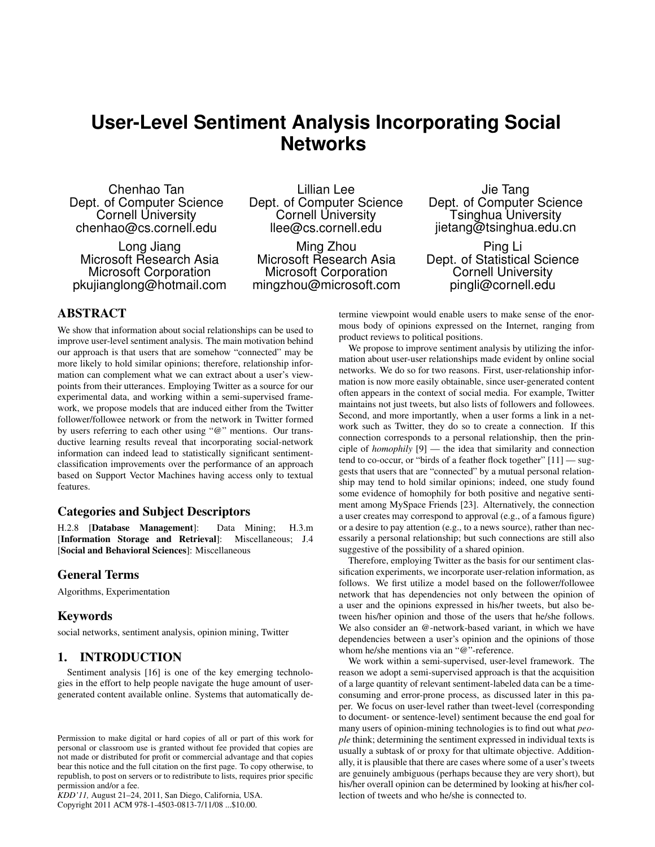# **User-Level Sentiment Analysis Incorporating Social Networks**

Chenhao Tan Dept. of Computer Science Cornell University chenhao@cs.cornell.edu

Long Jiang Microsoft Research Asia Microsoft Corporation pkujianglong@hotmail.com

Lillian Lee Dept. of Computer Science Cornell University llee@cs.cornell.edu

Ming Zhou Microsoft Research Asia Microsoft Corporation mingzhou@microsoft.com

**ABSTRACT**

We show that information about social relationships can be used to improve user-level sentiment analysis. The main motivation behind our approach is that users that are somehow "connected" may be more likely to hold similar opinions; therefore, relationship information can complement what we can extract about a user's viewpoints from their utterances. Employing Twitter as a source for our experimental data, and working within a semi-supervised framework, we propose models that are induced either from the Twitter follower/followee network or from the network in Twitter formed by users referring to each other using "@" mentions. Our transductive learning results reveal that incorporating social-network information can indeed lead to statistically significant sentimentclassification improvements over the performance of an approach based on Support Vector Machines having access only to textual features.

# **Categories and Subject Descriptors**

H.2.8 [**Database Management**]: Data Mining; H.3.m [**Information Storage and Retrieval**]: Miscellaneous; J.4 [**Social and Behavioral Sciences**]: Miscellaneous

# **General Terms**

Algorithms, Experimentation

# **Keywords**

social networks, sentiment analysis, opinion mining, Twitter

## **1. INTRODUCTION**

Sentiment analysis [16] is one of the key emerging technologies in the effort to help people navigate the huge amount of usergenerated content available online. Systems that automatically de-

*KDD'11,* August 21–24, 2011, San Diego, California, USA. Copyright 2011 ACM 978-1-4503-0813-7/11/08 ...\$10.00.

Jie Tang Dept. of Computer Science Tsinghua University jietang@tsinghua.edu.cn

Ping Li Dept. of Statistical Science Cornell University pingli@cornell.edu

termine viewpoint would enable users to make sense of the enormous body of opinions expressed on the Internet, ranging from product reviews to political positions.

We propose to improve sentiment analysis by utilizing the information about user-user relationships made evident by online social networks. We do so for two reasons. First, user-relationship information is now more easily obtainable, since user-generated content often appears in the context of social media. For example, Twitter maintains not just tweets, but also lists of followers and followees. Second, and more importantly, when a user forms a link in a network such as Twitter, they do so to create a connection. If this connection corresponds to a personal relationship, then the principle of *homophily* [9] — the idea that similarity and connection tend to co-occur, or "birds of a feather flock together" [11] — suggests that users that are "connected" by a mutual personal relationship may tend to hold similar opinions; indeed, one study found some evidence of homophily for both positive and negative sentiment among MySpace Friends [23]. Alternatively, the connection a user creates may correspond to approval (e.g., of a famous figure) or a desire to pay attention (e.g., to a news source), rather than necessarily a personal relationship; but such connections are still also suggestive of the possibility of a shared opinion.

Therefore, employing Twitter as the basis for our sentiment classification experiments, we incorporate user-relation information, as follows. We first utilize a model based on the follower/followee network that has dependencies not only between the opinion of a user and the opinions expressed in his/her tweets, but also between his/her opinion and those of the users that he/she follows. We also consider an @-network-based variant, in which we have dependencies between a user's opinion and the opinions of those whom he/she mentions via an "@"-reference.

We work within a semi-supervised, user-level framework. The reason we adopt a semi-supervised approach is that the acquisition of a large quantity of relevant sentiment-labeled data can be a timeconsuming and error-prone process, as discussed later in this paper. We focus on user-level rather than tweet-level (corresponding to document- or sentence-level) sentiment because the end goal for many users of opinion-mining technologies is to find out what *people* think; determining the sentiment expressed in individual texts is usually a subtask of or proxy for that ultimate objective. Additionally, it is plausible that there are cases where some of a user's tweets are genuinely ambiguous (perhaps because they are very short), but his/her overall opinion can be determined by looking at his/her collection of tweets and who he/she is connected to.

Permission to make digital or hard copies of all or part of this work for personal or classroom use is granted without fee provided that copies are not made or distributed for profit or commercial advantage and that copies bear this notice and the full citation on the first page. To copy otherwise, to republish, to post on servers or to redistribute to lists, requires prior specific permission and/or a fee.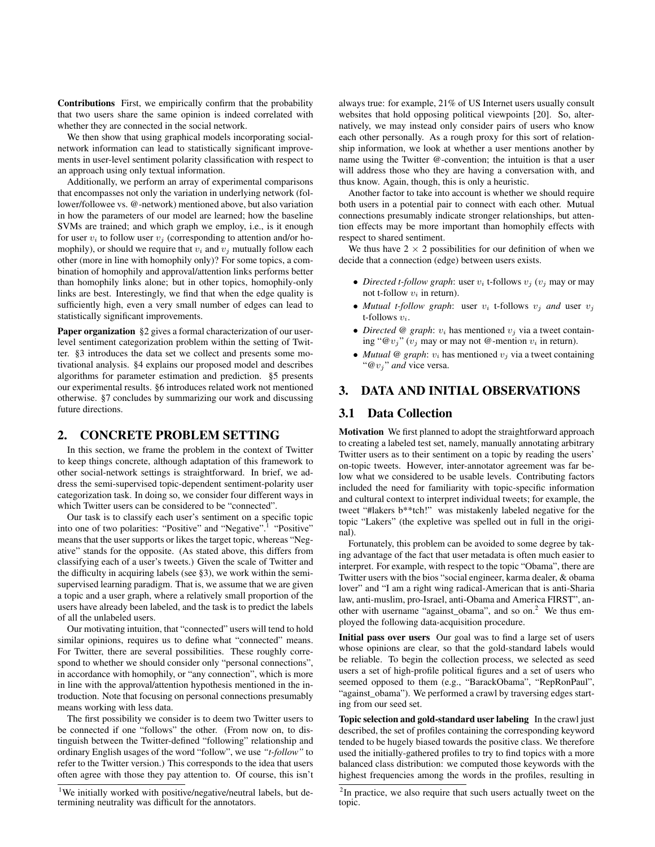**Contributions** First, we empirically confirm that the probability that two users share the same opinion is indeed correlated with whether they are connected in the social network.

We then show that using graphical models incorporating socialnetwork information can lead to statistically significant improvements in user-level sentiment polarity classification with respect to an approach using only textual information.

Additionally, we perform an array of experimental comparisons that encompasses not only the variation in underlying network (follower/followee vs. @-network) mentioned above, but also variation in how the parameters of our model are learned; how the baseline SVMs are trained; and which graph we employ, i.e., is it enough for user  $v_i$  to follow user  $v_j$  (corresponding to attention and/or homophily), or should we require that  $v_i$  and  $v_j$  mutually follow each other (more in line with homophily only)? For some topics, a combination of homophily and approval/attention links performs better than homophily links alone; but in other topics, homophily-only links are best. Interestingly, we find that when the edge quality is sufficiently high, even a very small number of edges can lead to statistically significant improvements.

**Paper organization** §2 gives a formal characterization of our userlevel sentiment categorization problem within the setting of Twitter. §3 introduces the data set we collect and presents some motivational analysis. §4 explains our proposed model and describes algorithms for parameter estimation and prediction. §5 presents our experimental results. §6 introduces related work not mentioned otherwise. §7 concludes by summarizing our work and discussing future directions.

# **2. CONCRETE PROBLEM SETTING**

In this section, we frame the problem in the context of Twitter to keep things concrete, although adaptation of this framework to other social-network settings is straightforward. In brief, we address the semi-supervised topic-dependent sentiment-polarity user categorization task. In doing so, we consider four different ways in which Twitter users can be considered to be "connected".

Our task is to classify each user's sentiment on a specific topic into one of two polarities: "Positive" and "Negative".<sup>1</sup> "Positive" means that the user supports or likes the target topic, whereas "Negative" stands for the opposite. (As stated above, this differs from classifying each of a user's tweets.) Given the scale of Twitter and the difficulty in acquiring labels (see §3), we work within the semisupervised learning paradigm. That is, we assume that we are given a topic and a user graph, where a relatively small proportion of the users have already been labeled, and the task is to predict the labels of all the unlabeled users.

Our motivating intuition, that "connected" users will tend to hold similar opinions, requires us to define what "connected" means. For Twitter, there are several possibilities. These roughly correspond to whether we should consider only "personal connections", in accordance with homophily, or "any connection", which is more in line with the approval/attention hypothesis mentioned in the introduction. Note that focusing on personal connections presumably means working with less data.

The first possibility we consider is to deem two Twitter users to be connected if one "follows" the other. (From now on, to distinguish between the Twitter-defined "following" relationship and ordinary English usages of the word "follow", we use *"t-follow"* to refer to the Twitter version.) This corresponds to the idea that users often agree with those they pay attention to. Of course, this isn't always true: for example, 21% of US Internet users usually consult websites that hold opposing political viewpoints [20]. So, alternatively, we may instead only consider pairs of users who know each other personally. As a rough proxy for this sort of relationship information, we look at whether a user mentions another by name using the Twitter @-convention; the intuition is that a user will address those who they are having a conversation with, and thus know. Again, though, this is only a heuristic.

Another factor to take into account is whether we should require both users in a potential pair to connect with each other. Mutual connections presumably indicate stronger relationships, but attention effects may be more important than homophily effects with respect to shared sentiment.

We thus have  $2 \times 2$  possibilities for our definition of when we decide that a connection (edge) between users exists.

- *Directed t-follow graph*: user  $v_i$  t-follows  $v_j$  ( $v_j$  may or may not t-follow  $v_i$  in return).
- *Mutual t-follow graph*: user  $v_i$  t-follows  $v_j$  *and* user  $v_j$ t-follows  $v_i$ .
- *Directed* @ *graph*:  $v_i$  has mentioned  $v_j$  via a tweet containing " $@v_j$ " ( $v_j$  may or may not  $@$ -mention  $v_i$  in return).
- *Mutual* @ *graph*:  $v_i$  has mentioned  $v_j$  via a tweet containing " $@v_j"$  *and* vice versa.

# **3. DATA AND INITIAL OBSERVATIONS**

# **3.1 Data Collection**

**Motivation** We first planned to adopt the straightforward approach to creating a labeled test set, namely, manually annotating arbitrary Twitter users as to their sentiment on a topic by reading the users' on-topic tweets. However, inter-annotator agreement was far below what we considered to be usable levels. Contributing factors included the need for familiarity with topic-specific information and cultural context to interpret individual tweets; for example, the tweet "#lakers b\*\*tch!" was mistakenly labeled negative for the topic "Lakers" (the expletive was spelled out in full in the original).

Fortunately, this problem can be avoided to some degree by taking advantage of the fact that user metadata is often much easier to interpret. For example, with respect to the topic "Obama", there are Twitter users with the bios "social engineer, karma dealer, & obama lover" and "I am a right wing radical-American that is anti-Sharia law, anti-muslim, pro-Israel, anti-Obama and America FIRST", another with username "against\_obama", and so on.<sup>2</sup> We thus employed the following data-acquisition procedure.

**Initial pass over users** Our goal was to find a large set of users whose opinions are clear, so that the gold-standard labels would be reliable. To begin the collection process, we selected as seed users a set of high-profile political figures and a set of users who seemed opposed to them (e.g., "BarackObama", "RepRonPaul", "against\_obama"). We performed a crawl by traversing edges starting from our seed set.

**Topic selection and gold-standard user labeling** In the crawl just described, the set of profiles containing the corresponding keyword tended to be hugely biased towards the positive class. We therefore used the initially-gathered profiles to try to find topics with a more balanced class distribution: we computed those keywords with the highest frequencies among the words in the profiles, resulting in

<sup>&</sup>lt;sup>1</sup>We initially worked with positive/negative/neutral labels, but determining neutrality was difficult for the annotators.

 $2$ In practice, we also require that such users actually tweet on the topic.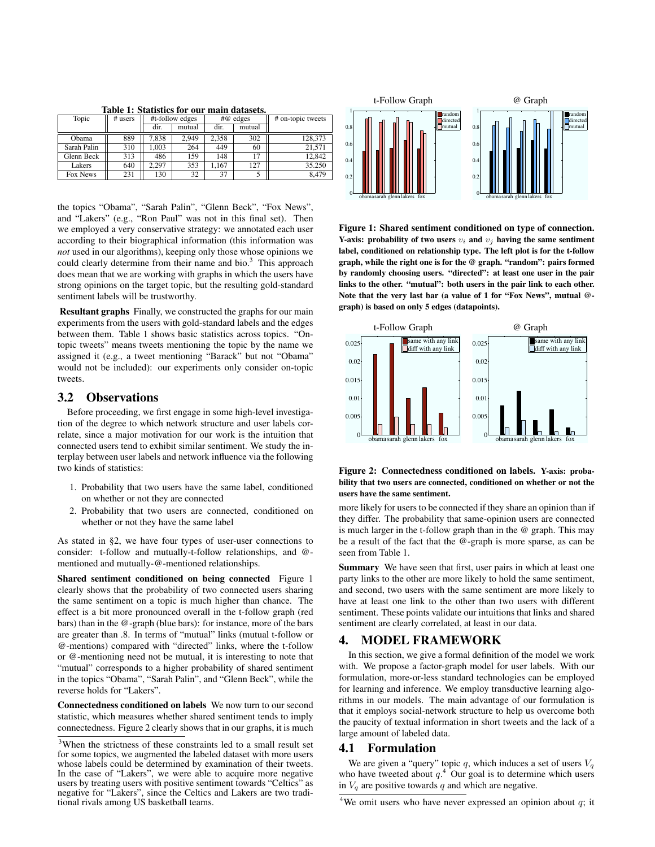**Table 1: Statistics for our main datasets.**

| Topic       | # users |       | #t-follow edges |       | $#@$ edges | # on-topic tweets |
|-------------|---------|-------|-----------------|-------|------------|-------------------|
|             |         | dir.  | mutual          | dir.  | mutual     |                   |
| Obama       | 889     | 7.838 | 2.949           | 2.358 | 302        | 128.373           |
| Sarah Palin | 310     | 1.003 | 264             | 449   | 60         | 21.571            |
| Glenn Beck  | 313     | 486   | 159             | 148   |            | 12.842            |
| Lakers      | 640     | 2.297 | 353             | .167  | 127        | 35.250            |
| Fox News    | 231     | 130   | 32              | 37    |            | 8.479             |

the topics "Obama", "Sarah Palin", "Glenn Beck", "Fox News", and "Lakers" (e.g., "Ron Paul" was not in this final set). Then we employed a very conservative strategy: we annotated each user according to their biographical information (this information was *not* used in our algorithms), keeping only those whose opinions we could clearly determine from their name and bio. $3$  This approach does mean that we are working with graphs in which the users have strong opinions on the target topic, but the resulting gold-standard sentiment labels will be trustworthy.

**Resultant graphs** Finally, we constructed the graphs for our main experiments from the users with gold-standard labels and the edges between them. Table 1 shows basic statistics across topics. "Ontopic tweets" means tweets mentioning the topic by the name we assigned it (e.g., a tweet mentioning "Barack" but not "Obama" would not be included): our experiments only consider on-topic tweets.

## **3.2 Observations**

Before proceeding, we first engage in some high-level investigation of the degree to which network structure and user labels correlate, since a major motivation for our work is the intuition that connected users tend to exhibit similar sentiment. We study the interplay between user labels and network influence via the following two kinds of statistics:

- 1. Probability that two users have the same label, conditioned on whether or not they are connected
- 2. Probability that two users are connected, conditioned on whether or not they have the same label

As stated in §2, we have four types of user-user connections to consider: t-follow and mutually-t-follow relationships, and @ mentioned and mutually-@-mentioned relationships.

**Shared sentiment conditioned on being connected** Figure 1 clearly shows that the probability of two connected users sharing the same sentiment on a topic is much higher than chance. The effect is a bit more pronounced overall in the t-follow graph (red bars) than in the @-graph (blue bars): for instance, more of the bars are greater than .8. In terms of "mutual" links (mutual t-follow or @-mentions) compared with "directed" links, where the t-follow or @-mentioning need not be mutual, it is interesting to note that "mutual" corresponds to a higher probability of shared sentiment in the topics "Obama", "Sarah Palin", and "Glenn Beck", while the reverse holds for "Lakers".

**Connectedness conditioned on labels** We now turn to our second statistic, which measures whether shared sentiment tends to imply connectedness. Figure 2 clearly shows that in our graphs, it is much



**Figure 1: Shared sentiment conditioned on type of connection. Y-axis:** probability of two users  $v_i$  and  $v_j$  having the same sentiment **label, conditioned on relationship type. The left plot is for the t-follow graph, while the right one is for the @ graph. "random": pairs formed by randomly choosing users. "directed": at least one user in the pair links to the other. "mutual": both users in the pair link to each other. Note that the very last bar (a value of 1 for "Fox News", mutual @ graph) is based on only 5 edges (datapoints).**





more likely for users to be connected if they share an opinion than if they differ. The probability that same-opinion users are connected is much larger in the t-follow graph than in the @ graph. This may be a result of the fact that the @-graph is more sparse, as can be seen from Table 1.

**Summary** We have seen that first, user pairs in which at least one party links to the other are more likely to hold the same sentiment, and second, two users with the same sentiment are more likely to have at least one link to the other than two users with different sentiment. These points validate our intuitions that links and shared sentiment are clearly correlated, at least in our data.

# **4. MODEL FRAMEWORK**

In this section, we give a formal definition of the model we work with. We propose a factor-graph model for user labels. With our formulation, more-or-less standard technologies can be employed for learning and inference. We employ transductive learning algorithms in our models. The main advantage of our formulation is that it employs social-network structure to help us overcome both the paucity of textual information in short tweets and the lack of a large amount of labeled data.

#### **4.1 Formulation**

We are given a "query" topic q, which induces a set of users  $V_q$ who have tweeted about  $q<sup>4</sup>$  Our goal is to determine which users in  $V_q$  are positive towards q and which are negative.

<sup>3</sup>When the strictness of these constraints led to a small result set for some topics, we augmented the labeled dataset with more users whose labels could be determined by examination of their tweets. In the case of "Lakers", we were able to acquire more negative users by treating users with positive sentiment towards "Celtics" as negative for "Lakers", since the Celtics and Lakers are two traditional rivals among US basketball teams.

<sup>&</sup>lt;sup>4</sup>We omit users who have never expressed an opinion about  $q$ ; it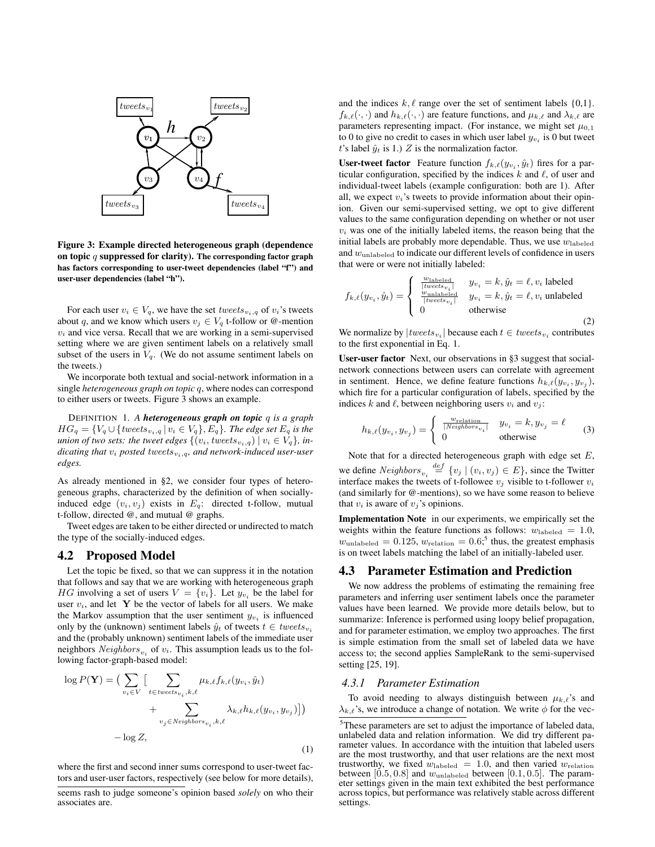

**Figure 3: Example directed heterogeneous graph (dependence on topic** q **suppressed for clarity). The corresponding factor graph has factors corresponding to user-tweet dependencies (label "f") and user-user dependencies (label "h").**

For each user  $v_i \in V_q$ , we have the set  $tweets_{v_i,q}$  of  $v_i$ 's tweets about q, and we know which users  $v_j \in V_q$  t-follow or  $\Theta$ -mention  $v_i$  and vice versa. Recall that we are working in a semi-supervised setting where we are given sentiment labels on a relatively small subset of the users in  $V_q$ . (We do not assume sentiment labels on the tweets.)

We incorporate both textual and social-network information in a single *heterogeneous graph on topic* q, where nodes can correspond to either users or tweets. Figure 3 shows an example.

DEFINITION 1. *A heterogeneous graph on topic* q *is a graph*  $HG_q = \{V_q \cup \{tweets_{v_i,q} \mid v_i \in V_q\}, E_q\}.$  The edge set  $E_q$  is the *union of two sets: the tweet edges*  $\{(v_i, \text{tweets}_{v_i,q}) \mid v_i \in V_q\}$ , in*dicating that*  $v_i$  *posted tweets* $v_i$ ,*q, and network-induced user-user edges.*

As already mentioned in §2, we consider four types of heterogeneous graphs, characterized by the definition of when sociallyinduced edge  $(v_i, v_j)$  exists in  $E_q$ : directed t-follow, mutual t-follow, directed  $\omega$ , and mutual  $\omega$  graphs.

Tweet edges are taken to be either directed or undirected to match the type of the socially-induced edges.

### **4.2 Proposed Model**

Let the topic be fixed, so that we can suppress it in the notation that follows and say that we are working with heterogeneous graph *HG* involving a set of users  $V = \{v_i\}$ . Let  $y_{v_i}$  be the label for user  $v_i$ , and let Y be the vector of labels for all users. We make the Markov assumption that the user sentiment  $y_{v_i}$  is influenced only by the (unknown) sentiment labels  $\hat{y}_t$  of tweets  $t \in \text{tweets}_{v_i}$ and the (probably unknown) sentiment labels of the immediate user neighbors  $Neighbors_{v_i}$  of  $v_i$ . This assumption leads us to the following factor-graph-based model:

$$
\log P(\mathbf{Y}) = \left( \sum_{v_i \in V} \left[ \sum_{t \in tweets_{v_i}, k, \ell} \mu_{k,\ell} f_{k,\ell}(y_{v_i}, \hat{y}_t) + \sum_{v_j \in Neighbors_{v_i}, k, \ell} \lambda_{k,\ell} h_{k,\ell}(y_{v_i}, y_{v_j}) \right] \right)
$$

$$
- \log Z,
$$
 (1)

where the first and second inner sums correspond to user-tweet factors and user-user factors, respectively (see below for more details), and the indices  $k, \ell$  range over the set of sentiment labels  $\{0,1\}.$  $f_{k,\ell}(\cdot,\cdot)$  and  $h_{k,\ell}(\cdot,\cdot)$  are feature functions, and  $\mu_{k,\ell}$  and  $\lambda_{k,\ell}$  are parameters representing impact. (For instance, we might set  $\mu_{0,1}$ to 0 to give no credit to cases in which user label  $y_{v_i}$  is 0 but tweet t's label  $\hat{y}_t$  is 1.) Z is the normalization factor.

**User-tweet factor** Feature function  $f_{k,\ell}(y_{v_i}, \hat{y}_t)$  fires for a particular configuration, specified by the indices  $k$  and  $\ell$ , of user and individual-tweet labels (example configuration: both are 1). After all, we expect  $v_i$ 's tweets to provide information about their opinion. Given our semi-supervised setting, we opt to give different values to the same configuration depending on whether or not user  $v_i$  was one of the initially labeled items, the reason being that the initial labels are probably more dependable. Thus, we use  $w_{\rm labeled}$ and  $w_{\text{unlabeled}}$  to indicate our different levels of confidence in users that were or were not initially labeled:

$$
f_{k,\ell}(y_{v_i}, \hat{y}_t) = \begin{cases} \frac{w_{\text{labeled}}}{|tweets_{v_i}|} & y_{v_i} = k, \hat{y}_t = \ell, v_i \text{ labeled} \\ \frac{w_{\text{unlabeled}}}{|tweets_{v_i}|} & y_{v_i} = k, \hat{y}_t = \ell, v_i \text{ unlabeled} \\ 0 & \text{otherwise} \end{cases}
$$
(2)

We normalize by  $|tweets_{v_i}|$  because each  $t \in tweets_{v_i}$  contributes to the first exponential in Eq. 1.

**User-user factor** Next, our observations in §3 suggest that socialnetwork connections between users can correlate with agreement in sentiment. Hence, we define feature functions  $h_{k,\ell}(y_{v_i}, y_{v_j})$ , which fire for a particular configuration of labels, specified by the indices k and  $\ell$ , between neighboring users  $v_i$  and  $v_j$ :

$$
h_{k,\ell}(y_{v_i}, y_{v_j}) = \begin{cases} \frac{w_{\text{relation}}}{|Neighbors_{v_i}|} & y_{v_i} = k, y_{v_j} = \ell\\ 0 & \text{otherwise} \end{cases}
$$
 (3)

Note that for a directed heterogeneous graph with edge set  $E$ , we define  $Neighbors_{v_i} \stackrel{def}{=} \{v_j \mid (v_i, v_j) \in E\}$ , since the Twitter interface makes the tweets of t-followee  $v_j$  visible to t-follower  $v_i$ (and similarly for @-mentions), so we have some reason to believe that  $v_i$  is aware of  $v_j$ 's opinions.

**Implementation Note** in our experiments, we empirically set the weights within the feature functions as follows:  $w_{\text{labeled}} = 1.0$ ,  $w_{\text{unlabeled}} = 0.125$ ,  $w_{\text{relation}} = 0.6$ ; thus, the greatest emphasis is on tweet labels matching the label of an initially-labeled user.

# **4.3 Parameter Estimation and Prediction**

We now address the problems of estimating the remaining free parameters and inferring user sentiment labels once the parameter values have been learned. We provide more details below, but to summarize: Inference is performed using loopy belief propagation, and for parameter estimation, we employ two approaches. The first is simple estimation from the small set of labeled data we have access to; the second applies SampleRank to the semi-supervised setting [25, 19].

#### *4.3.1 Parameter Estimation*

To avoid needing to always distinguish between  $\mu_{k,\ell}$ 's and  $\lambda_{k,\ell}$ 's, we introduce a change of notation. We write  $\phi$  for the vec-

seems rash to judge someone's opinion based *solely* on who their associates are.

<sup>5</sup>These parameters are set to adjust the importance of labeled data, unlabeled data and relation information. We did try different parameter values. In accordance with the intuition that labeled users are the most trustworthy, and that user relations are the next most trustworthy, we fixed  $w_{\text{labeled}} = 1.0$ , and then varied  $w_{\text{relation}}$ between  $[0.5, 0.8]$  and  $w_{\text{unlabeled}}$  between  $[0.1, 0.5]$ . The parameter settings given in the main text exhibited the best performance across topics, but performance was relatively stable across different settings.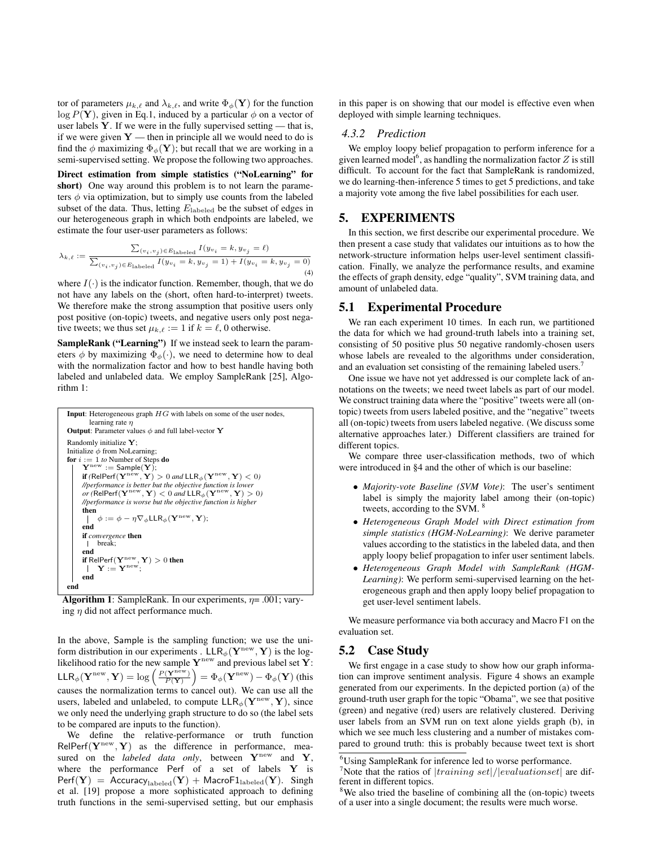tor of parameters  $\mu_{k,\ell}$  and  $\lambda_{k,\ell}$ , and write  $\Phi_{\phi}(\mathbf{Y})$  for the function  $\log P(Y)$ , given in Eq.1, induced by a particular  $\phi$  on a vector of user labels  $Y$ . If we were in the fully supervised setting — that is, if we were given  $Y$  — then in principle all we would need to do is find the  $\phi$  maximizing  $\Phi_{\phi}(\mathbf{Y})$ ; but recall that we are working in a semi-supervised setting. We propose the following two approaches.

**Direct estimation from simple statistics ("NoLearning" for short)** One way around this problem is to not learn the parameters  $\phi$  via optimization, but to simply use counts from the labeled subset of the data. Thus, letting  $E_{\rm labeled}$  be the subset of edges in our heterogeneous graph in which both endpoints are labeled, we estimate the four user-user parameters as follows:

$$
\lambda_{k,\ell} := \frac{\sum_{(v_i, v_j) \in E_{\text{label}}}{I(y_{v_i} = k, y_{v_j} = \ell)}}{\sum_{(v_i, v_j) \in E_{\text{label}}}{I(y_{v_i} = k, y_{v_j} = 1) + I(y_{v_i} = k, y_{v_j} = 0)}}
$$
(4)

where  $I(\cdot)$  is the indicator function. Remember, though, that we do not have any labels on the (short, often hard-to-interpret) tweets. We therefore make the strong assumption that positive users only post positive (on-topic) tweets, and negative users only post negative tweets; we thus set  $\mu_{k,\ell} := 1$  if  $k = \ell$ , 0 otherwise.

**SampleRank ("Learning")** If we instead seek to learn the parameters  $\phi$  by maximizing  $\Phi_{\phi}(\cdot)$ , we need to determine how to deal with the normalization factor and how to best handle having both labeled and unlabeled data. We employ SampleRank [25], Algorithm 1:



**Algorithm 1**: SampleRank. In our experiments,  $\eta = .001$ ; varying  $\eta$  did not affect performance much.

In the above, Sample is the sampling function; we use the uniform distribution in our experiments .  $LLR_{\phi}(\mathbf{Y}_{\text{new}}, \mathbf{Y})$  is the loglikelihood ratio for the new sample  $\mathbf{Y}^{\text{new}}$  and previous label set  $\mathbf{Y}$ :  $\mathsf{LLR}_\phi(\mathbf{Y}^\text{new}, \mathbf{Y}) = \log\left(\frac{P(\mathbf{Y}^\text{new})}{P(\mathbf{Y})}\right) = \Phi_\phi(\mathbf{Y}^\text{new}) - \Phi_\phi(\mathbf{Y})$  (this causes the normalization terms to cancel out). We can use all the users, labeled and unlabeled, to compute  $LLR_{\phi}(\mathbf{Y}^{\text{new}}, \mathbf{Y})$ , since we only need the underlying graph structure to do so (the label sets to be compared are inputs to the function).

We define the relative-performance or truth function  $Re[Perf(Y<sup>new</sup>, Y)]$  as the difference in performance, measured on the *labeled data only*, between Y<sup>new</sup> and Y, where the performance Perf of a set of labels Y is  $\mathsf{Perf}(\mathbf{Y}) = \mathsf{Accuracy}_{\text{labeled}}(\mathbf{Y}) + \mathsf{MacroF1}_{\text{labeled}}(\mathbf{Y}).$  Singh et al. [19] propose a more sophisticated approach to defining truth functions in the semi-supervised setting, but our emphasis

in this paper is on showing that our model is effective even when deployed with simple learning techniques.

## *4.3.2 Prediction*

We employ loopy belief propagation to perform inference for a given learned model<sup>6</sup>, as handling the normalization factor  $Z$  is still difficult. To account for the fact that SampleRank is randomized, we do learning-then-inference 5 times to get 5 predictions, and take a majority vote among the five label possibilities for each user.

# **5. EXPERIMENTS**

In this section, we first describe our experimental procedure. We then present a case study that validates our intuitions as to how the network-structure information helps user-level sentiment classification. Finally, we analyze the performance results, and examine the effects of graph density, edge "quality", SVM training data, and amount of unlabeled data.

#### **5.1 Experimental Procedure**

We ran each experiment 10 times. In each run, we partitioned the data for which we had ground-truth labels into a training set, consisting of 50 positive plus 50 negative randomly-chosen users whose labels are revealed to the algorithms under consideration, and an evaluation set consisting of the remaining labeled users.<sup>7</sup>

One issue we have not yet addressed is our complete lack of annotations on the tweets; we need tweet labels as part of our model. We construct training data where the "positive" tweets were all (ontopic) tweets from users labeled positive, and the "negative" tweets all (on-topic) tweets from users labeled negative. (We discuss some alternative approaches later.) Different classifiers are trained for different topics.

We compare three user-classification methods, two of which were introduced in §4 and the other of which is our baseline:

- *Majority-vote Baseline (SVM Vote)*: The user's sentiment label is simply the majority label among their (on-topic) tweets, according to the SVM. <sup>8</sup>
- *Heterogeneous Graph Model with Direct estimation from simple statistics (HGM-NoLearning)*: We derive parameter values according to the statistics in the labeled data, and then apply loopy belief propagation to infer user sentiment labels.
- *Heterogeneous Graph Model with SampleRank (HGM-Learning)*: We perform semi-supervised learning on the heterogeneous graph and then apply loopy belief propagation to get user-level sentiment labels.

We measure performance via both accuracy and Macro F1 on the evaluation set.

#### **5.2 Case Study**

We first engage in a case study to show how our graph information can improve sentiment analysis. Figure 4 shows an example generated from our experiments. In the depicted portion (a) of the ground-truth user graph for the topic "Obama", we see that positive (green) and negative (red) users are relatively clustered. Deriving user labels from an SVM run on text alone yields graph (b), in which we see much less clustering and a number of mistakes compared to ground truth: this is probably because tweet text is short

<sup>&</sup>lt;sup>6</sup>Using SampleRank for inference led to worse performance.

<sup>&</sup>lt;sup>7</sup>Note that the ratios of  $|training set|/|evaluationset|$  are different in different topics.

<sup>&</sup>lt;sup>8</sup>We also tried the baseline of combining all the (on-topic) tweets of a user into a single document; the results were much worse.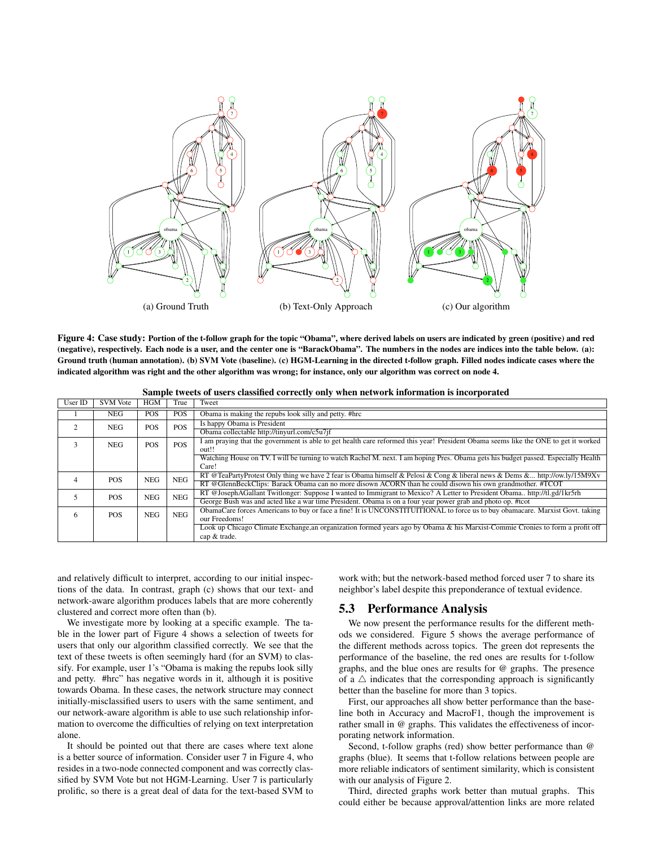

**Figure 4: Case study: Portion of the t-follow graph for the topic "Obama", where derived labels on users are indicated by green (positive) and red (negative), respectively. Each node is a user, and the center one is "BarackObama". The numbers in the nodes are indices into the table below. (a): Ground truth (human annotation). (b) SVM Vote (baseline). (c) HGM-Learning in the directed t-follow graph. Filled nodes indicate cases where the indicated algorithm was right and the other algorithm was wrong; for instance, only our algorithm was correct on node 4.**

|  |  | Sample tweets of users classified correctly only when network information is incorporated |  |  |  |  |  |
|--|--|-------------------------------------------------------------------------------------------|--|--|--|--|--|
|  |  |                                                                                           |  |  |  |  |  |

| User ID        | <b>SVM</b> Vote    | HGM        | True       | Tweet                                                                                                                               |
|----------------|--------------------|------------|------------|-------------------------------------------------------------------------------------------------------------------------------------|
|                | <b>NEG</b>         | <b>POS</b> | <b>POS</b> | Obama is making the repubs look silly and petty. #hrc                                                                               |
| $\overline{c}$ | <b>POS</b><br>NEG. |            | <b>POS</b> | Is happy Obama is President                                                                                                         |
|                |                    |            |            | Obama collectable http://tinyurl.com/c5u7jf                                                                                         |
|                | <b>NEG</b>         | POS        | <b>POS</b> | I am praying that the government is able to get health care reformed this year! President Obama seems like the ONE to get it worked |
|                |                    |            |            | out!!                                                                                                                               |
|                |                    |            |            | Watching House on TV. I will be turning to watch Rachel M. next. I am hoping Pres. Obama gets his budget passed. Especially Health  |
|                |                    |            |            | Care!                                                                                                                               |
| 4              | <b>POS</b>         | <b>NEG</b> | <b>NEG</b> | RT @TeaPartyProtest Only thing we have 2 fear is Obama himself & Pelosi & Cong & liberal news & Dems & http://ow.ly/15M9Xv          |
|                |                    |            |            | RT @GlennBeckClips: Barack Obama can no more disown ACORN than he could disown his own grandmother. #TCOT                           |
|                | <b>POS</b>         | <b>NEG</b> | <b>NEG</b> | RT @JosephAGallant Twitlonger: Suppose I wanted to Immigrant to Mexico? A Letter to President Obama http://tl.gd/1kr5rh             |
|                |                    |            |            | George Bush was and acted like a war time President. Obama is on a four year power grab and photo op. #tcot                         |
| 6              | POS.               | <b>NEG</b> | <b>NEG</b> | ObamaCare forces Americans to buy or face a fine! It is UNCONSTITUITIONAL to force us to buy obamacare. Marxist Govt. taking        |
|                |                    |            |            | our Freedoms!                                                                                                                       |
|                |                    |            |            | Look up Chicago Climate Exchange, an organization formed years ago by Obama & his Marxist-Commie Cronies to form a profit off       |
|                |                    |            |            | cap & trade.                                                                                                                        |

and relatively difficult to interpret, according to our initial inspections of the data. In contrast, graph (c) shows that our text- and network-aware algorithm produces labels that are more coherently clustered and correct more often than (b).

We investigate more by looking at a specific example. The table in the lower part of Figure 4 shows a selection of tweets for users that only our algorithm classified correctly. We see that the text of these tweets is often seemingly hard (for an SVM) to classify. For example, user 1's "Obama is making the repubs look silly and petty. #hrc" has negative words in it, although it is positive towards Obama. In these cases, the network structure may connect initially-misclassified users to users with the same sentiment, and our network-aware algorithm is able to use such relationship information to overcome the difficulties of relying on text interpretation alone.

It should be pointed out that there are cases where text alone is a better source of information. Consider user 7 in Figure 4, who resides in a two-node connected component and was correctly classified by SVM Vote but not HGM-Learning. User 7 is particularly prolific, so there is a great deal of data for the text-based SVM to

work with; but the network-based method forced user 7 to share its neighbor's label despite this preponderance of textual evidence.

# **5.3 Performance Analysis**

We now present the performance results for the different methods we considered. Figure 5 shows the average performance of the different methods across topics. The green dot represents the performance of the baseline, the red ones are results for t-follow graphs, and the blue ones are results for @ graphs. The presence of a  $\triangle$  indicates that the corresponding approach is significantly better than the baseline for more than 3 topics.

First, our approaches all show better performance than the baseline both in Accuracy and MacroF1, though the improvement is rather small in @ graphs. This validates the effectiveness of incorporating network information.

Second, t-follow graphs (red) show better performance than @ graphs (blue). It seems that t-follow relations between people are more reliable indicators of sentiment similarity, which is consistent with our analysis of Figure 2.

Third, directed graphs work better than mutual graphs. This could either be because approval/attention links are more related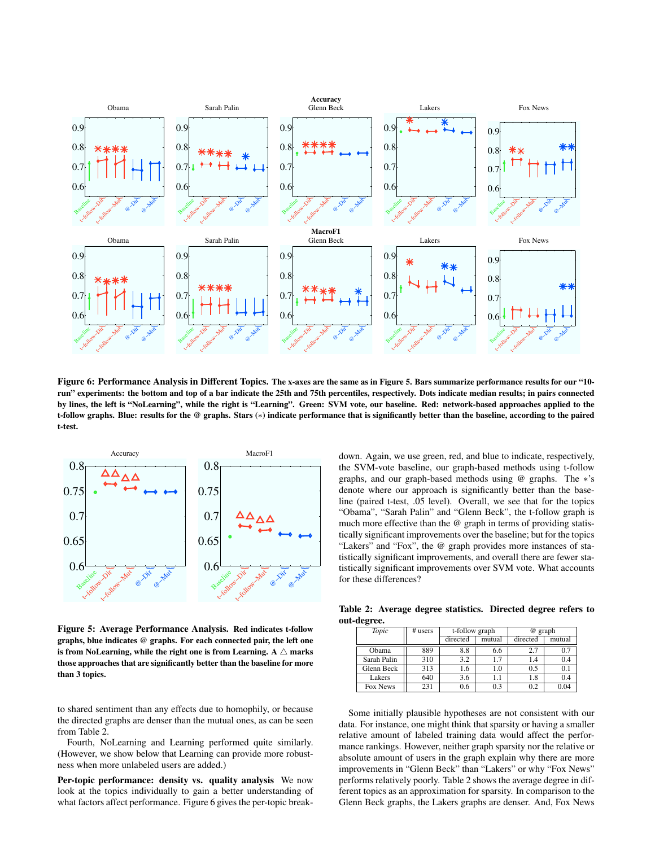

**Figure 6: Performance Analysis in Different Topics. The x-axes are the same as in Figure 5. Bars summarize performance results for our "10 run" experiments: the bottom and top of a bar indicate the 25th and 75th percentiles, respectively. Dots indicate median results; in pairs connected by lines, the left is "NoLearning", while the right is "Learning". Green: SVM vote, our baseline. Red: network-based approaches applied to the t-follow graphs. Blue: results for the @ graphs. Stars (**∗**) indicate performance that is significantly better than the baseline, according to the paired t-test.**



**Figure 5: Average Performance Analysis. Red indicates t-follow graphs, blue indicates @ graphs. For each connected pair, the left one is from NoLearning, while the right one is from Learning. A** △ **marks those approaches that are significantly better than the baseline for more than 3 topics.**

to shared sentiment than any effects due to homophily, or because the directed graphs are denser than the mutual ones, as can be seen from Table 2.

Fourth, NoLearning and Learning performed quite similarly. (However, we show below that Learning can provide more robustness when more unlabeled users are added.)

**Per-topic performance: density vs. quality analysis** We now look at the topics individually to gain a better understanding of what factors affect performance. Figure 6 gives the per-topic breakdown. Again, we use green, red, and blue to indicate, respectively, the SVM-vote baseline, our graph-based methods using t-follow graphs, and our graph-based methods using @ graphs. The ∗'s denote where our approach is significantly better than the baseline (paired t-test, .05 level). Overall, we see that for the topics "Obama", "Sarah Palin" and "Glenn Beck", the t-follow graph is much more effective than the @ graph in terms of providing statistically significant improvements over the baseline; but for the topics "Lakers" and "Fox", the @ graph provides more instances of statistically significant improvements, and overall there are fewer statistically significant improvements over SVM vote. What accounts for these differences?

**Table 2: Average degree statistics. Directed degree refers to out-degree.**

| Topic       | $#$ users | t-follow graph |                    | @ graph |        |  |  |
|-------------|-----------|----------------|--------------------|---------|--------|--|--|
|             |           | directed       | directed<br>mutual |         | mutual |  |  |
| Obama       | 889       | 8.8            | 6.6                | 2.7     | 0.7    |  |  |
| Sarah Palin | 310       | 3.2            | 1.7                | 1.4     | 0.4    |  |  |
| Glenn Beck  | 313       | 1.6            | 1.0                | 0.5     | 0.1    |  |  |
| Lakers      | 640       | 3.6            |                    | 1.8     | 0.4    |  |  |
| Fox News    | 231       | 0.6            | 0.3                | 02      | 0.04   |  |  |

Some initially plausible hypotheses are not consistent with our data. For instance, one might think that sparsity or having a smaller relative amount of labeled training data would affect the performance rankings. However, neither graph sparsity nor the relative or absolute amount of users in the graph explain why there are more improvements in "Glenn Beck" than "Lakers" or why "Fox News" performs relatively poorly. Table 2 shows the average degree in different topics as an approximation for sparsity. In comparison to the Glenn Beck graphs, the Lakers graphs are denser. And, Fox News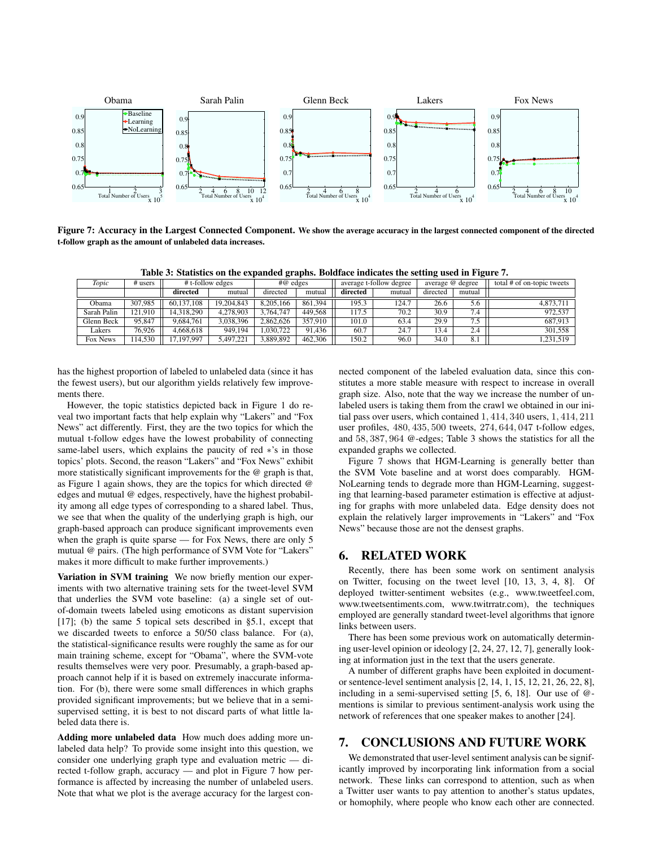

**Figure 7: Accuracy in the Largest Connected Component. We show the average accuracy in the largest connected component of the directed t-follow graph as the amount of unlabeled data increases.**

**Table 3: Statistics on the expanded graphs. Boldface indicates the setting used in Figure 7.**

| Topic       | # users | # t-follow edges |            | $#@$ edges |         | average t-follow degree |        | average @ degree |        | total # of on-topic tweets |
|-------------|---------|------------------|------------|------------|---------|-------------------------|--------|------------------|--------|----------------------------|
|             |         | directed         | mutual     | directed   | mutual  | directed                | mutual | directed         | mutual |                            |
| Obama       | 307.985 | 60.137.108       | 19.204.843 | 8.205.166  | 861.394 | 195.3                   | 124.7  | 26.6             | 5.6    | 4.873.711                  |
| Sarah Palin | 121.910 | 14.318.290       | 4.278.903  | 3.764.747  | 449.568 | 117.5                   | 70.2   | 30.9             | 7.4    | 972,537                    |
| Glenn Beck  | 95.847  | 9.684.761        | 3.038.396  | 2.862.626  | 357,910 | 101.0                   | 63.4   | 29.9             | 7.5    | 687.913                    |
| Lakers      | 76.926  | 4,668,618        | 949.194    | .030.722   | 91.436  | 60.7                    | 24.7   | 13.4             | 2.4    | 301.558                    |
| Fox News    | 14.530  | 1.197.997        | 5.497.221  | 3.889.892  | 462,306 | 150.2                   | 96.0   | 34.0             | 8.1    | 1,231,519                  |

has the highest proportion of labeled to unlabeled data (since it has the fewest users), but our algorithm yields relatively few improvements there.

However, the topic statistics depicted back in Figure 1 do reveal two important facts that help explain why "Lakers" and "Fox News" act differently. First, they are the two topics for which the mutual t-follow edges have the lowest probability of connecting same-label users, which explains the paucity of red ∗'s in those topics' plots. Second, the reason "Lakers" and "Fox News" exhibit more statistically significant improvements for the @ graph is that, as Figure 1 again shows, they are the topics for which directed @ edges and mutual @ edges, respectively, have the highest probability among all edge types of corresponding to a shared label. Thus, we see that when the quality of the underlying graph is high, our graph-based approach can produce significant improvements even when the graph is quite sparse — for Fox News, there are only 5 mutual @ pairs. (The high performance of SVM Vote for "Lakers" makes it more difficult to make further improvements.)

**Variation in SVM training** We now briefly mention our experiments with two alternative training sets for the tweet-level SVM that underlies the SVM vote baseline: (a) a single set of outof-domain tweets labeled using emoticons as distant supervision [17]; (b) the same 5 topical sets described in §5.1, except that we discarded tweets to enforce a 50/50 class balance. For (a), the statistical-significance results were roughly the same as for our main training scheme, except for "Obama", where the SVM-vote results themselves were very poor. Presumably, a graph-based approach cannot help if it is based on extremely inaccurate information. For (b), there were some small differences in which graphs provided significant improvements; but we believe that in a semisupervised setting, it is best to not discard parts of what little labeled data there is.

**Adding more unlabeled data** How much does adding more unlabeled data help? To provide some insight into this question, we consider one underlying graph type and evaluation metric — directed t-follow graph, accuracy — and plot in Figure 7 how performance is affected by increasing the number of unlabeled users. Note that what we plot is the average accuracy for the largest connected component of the labeled evaluation data, since this constitutes a more stable measure with respect to increase in overall graph size. Also, note that the way we increase the number of unlabeled users is taking them from the crawl we obtained in our initial pass over users, which contained 1, 414, 340 users, 1, 414, 211 user profiles, 480, 435, 500 tweets, 274, 644, 047 t-follow edges, and 58, 387, 964 @-edges; Table 3 shows the statistics for all the expanded graphs we collected.

Figure 7 shows that HGM-Learning is generally better than the SVM Vote baseline and at worst does comparably. HGM-NoLearning tends to degrade more than HGM-Learning, suggesting that learning-based parameter estimation is effective at adjusting for graphs with more unlabeled data. Edge density does not explain the relatively larger improvements in "Lakers" and "Fox News" because those are not the densest graphs.

# **6. RELATED WORK**

Recently, there has been some work on sentiment analysis on Twitter, focusing on the tweet level [10, 13, 3, 4, 8]. Of deployed twitter-sentiment websites (e.g., www.tweetfeel.com, www.tweetsentiments.com, www.twitrratr.com), the techniques employed are generally standard tweet-level algorithms that ignore links between users.

There has been some previous work on automatically determining user-level opinion or ideology [2, 24, 27, 12, 7], generally looking at information just in the text that the users generate.

A number of different graphs have been exploited in documentor sentence-level sentiment analysis [2, 14, 1, 15, 12, 21, 26, 22, 8], including in a semi-supervised setting [5, 6, 18]. Our use of @ mentions is similar to previous sentiment-analysis work using the network of references that one speaker makes to another [24].

# **7. CONCLUSIONS AND FUTURE WORK**

We demonstrated that user-level sentiment analysis can be significantly improved by incorporating link information from a social network. These links can correspond to attention, such as when a Twitter user wants to pay attention to another's status updates, or homophily, where people who know each other are connected.